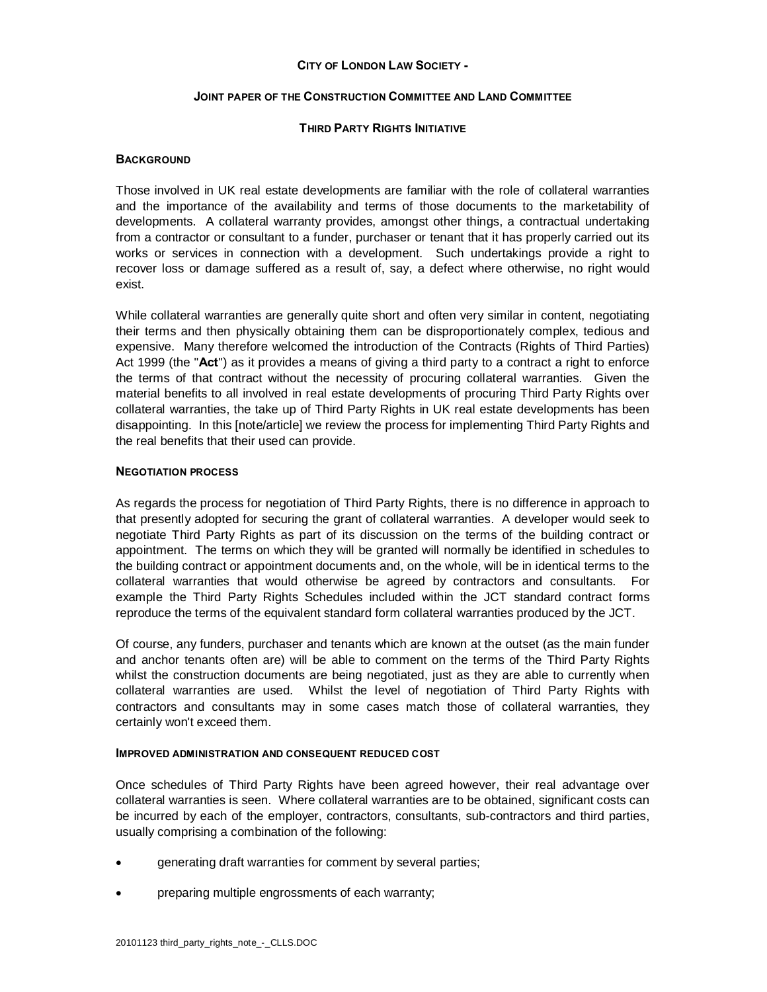### **CITY OF LONDON LAW SOCIETY -**

### **JOINT PAPER OF THE CONSTRUCTION COMMITTEE AND LAND COMMITTEE**

## **THIRD PARTY RIGHTS INITIATIVE**

# **BACKGROUND**

Those involved in UK real estate developments are familiar with the role of collateral warranties and the importance of the availability and terms of those documents to the marketability of developments. A collateral warranty provides, amongst other things, a contractual undertaking from a contractor or consultant to a funder, purchaser or tenant that it has properly carried out its works or services in connection with a development. Such undertakings provide a right to recover loss or damage suffered as a result of, say, a defect where otherwise, no right would exist.

While collateral warranties are generally quite short and often very similar in content, negotiating their terms and then physically obtaining them can be disproportionately complex, tedious and expensive. Many therefore welcomed the introduction of the Contracts (Rights of Third Parties) Act 1999 (the "**Act**") as it provides a means of giving a third party to a contract a right to enforce the terms of that contract without the necessity of procuring collateral warranties. Given the material benefits to all involved in real estate developments of procuring Third Party Rights over collateral warranties, the take up of Third Party Rights in UK real estate developments has been disappointing. In this [note/article] we review the process for implementing Third Party Rights and the real benefits that their used can provide.

### **NEGOTIATION PROCESS**

As regards the process for negotiation of Third Party Rights, there is no difference in approach to that presently adopted for securing the grant of collateral warranties. A developer would seek to negotiate Third Party Rights as part of its discussion on the terms of the building contract or appointment. The terms on which they will be granted will normally be identified in schedules to the building contract or appointment documents and, on the whole, will be in identical terms to the collateral warranties that would otherwise be agreed by contractors and consultants. For example the Third Party Rights Schedules included within the JCT standard contract forms reproduce the terms of the equivalent standard form collateral warranties produced by the JCT.

Of course, any funders, purchaser and tenants which are known at the outset (as the main funder and anchor tenants often are) will be able to comment on the terms of the Third Party Rights whilst the construction documents are being negotiated, just as they are able to currently when collateral warranties are used. Whilst the level of negotiation of Third Party Rights with contractors and consultants may in some cases match those of collateral warranties, they certainly won't exceed them.

### **IMPROVED ADMINISTRATION AND CONSEQUENT REDUCED COST**

Once schedules of Third Party Rights have been agreed however, their real advantage over collateral warranties is seen. Where collateral warranties are to be obtained, significant costs can be incurred by each of the employer, contractors, consultants, sub-contractors and third parties, usually comprising a combination of the following:

- generating draft warranties for comment by several parties;
- preparing multiple engrossments of each warranty;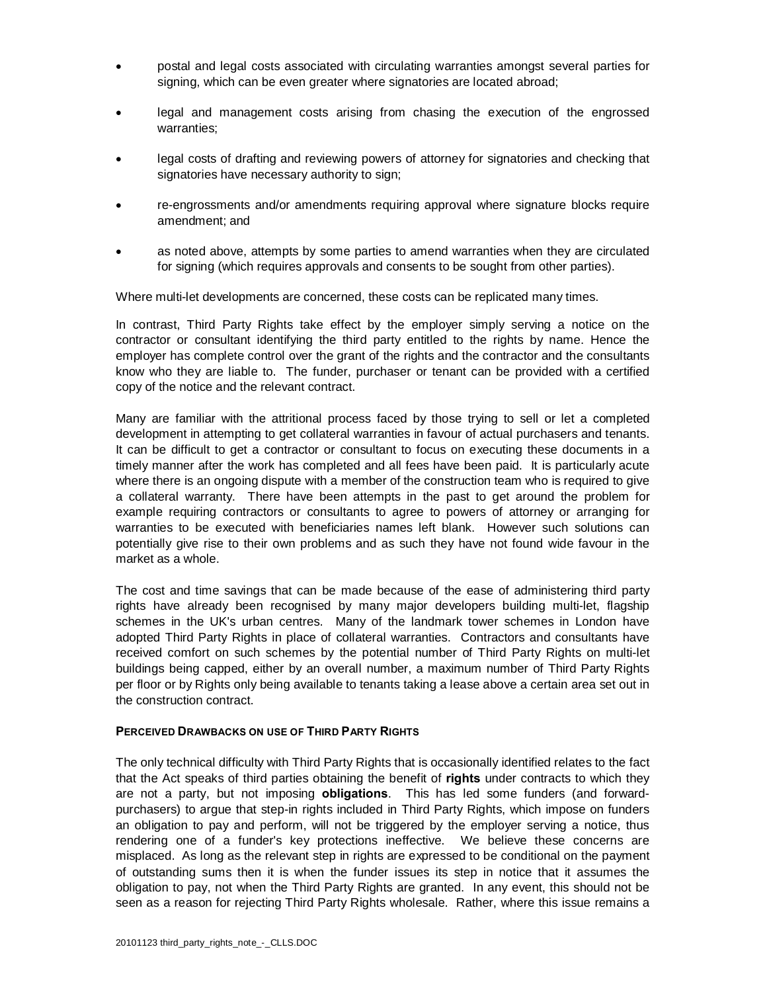- · postal and legal costs associated with circulating warranties amongst several parties for signing, which can be even greater where signatories are located abroad;
- legal and management costs arising from chasing the execution of the engrossed warranties;
- · legal costs of drafting and reviewing powers of attorney for signatories and checking that signatories have necessary authority to sign;
- · re-engrossments and/or amendments requiring approval where signature blocks require amendment; and
- as noted above, attempts by some parties to amend warranties when they are circulated for signing (which requires approvals and consents to be sought from other parties).

Where multi-let developments are concerned, these costs can be replicated many times.

In contrast, Third Party Rights take effect by the employer simply serving a notice on the contractor or consultant identifying the third party entitled to the rights by name. Hence the employer has complete control over the grant of the rights and the contractor and the consultants know who they are liable to. The funder, purchaser or tenant can be provided with a certified copy of the notice and the relevant contract.

Many are familiar with the attritional process faced by those trying to sell or let a completed development in attempting to get collateral warranties in favour of actual purchasers and tenants. It can be difficult to get a contractor or consultant to focus on executing these documents in a timely manner after the work has completed and all fees have been paid. It is particularly acute where there is an ongoing dispute with a member of the construction team who is required to give a collateral warranty. There have been attempts in the past to get around the problem for example requiring contractors or consultants to agree to powers of attorney or arranging for warranties to be executed with beneficiaries names left blank. However such solutions can potentially give rise to their own problems and as such they have not found wide favour in the market as a whole.

The cost and time savings that can be made because of the ease of administering third party rights have already been recognised by many major developers building multi-let, flagship schemes in the UK's urban centres. Many of the landmark tower schemes in London have adopted Third Party Rights in place of collateral warranties. Contractors and consultants have received comfort on such schemes by the potential number of Third Party Rights on multi-let buildings being capped, either by an overall number, a maximum number of Third Party Rights per floor or by Rights only being available to tenants taking a lease above a certain area set out in the construction contract.

### **PERCEIVED DRAWBACKS ON USE OF THIRD PARTY RIGHTS**

The only technical difficulty with Third Party Rights that is occasionally identified relates to the fact that the Act speaks of third parties obtaining the benefit of **rights** under contracts to which they are not a party, but not imposing **obligations**. This has led some funders (and forwardpurchasers) to argue that step-in rights included in Third Party Rights, which impose on funders an obligation to pay and perform, will not be triggered by the employer serving a notice, thus rendering one of a funder's key protections ineffective. We believe these concerns are misplaced. As long as the relevant step in rights are expressed to be conditional on the payment of outstanding sums then it is when the funder issues its step in notice that it assumes the obligation to pay, not when the Third Party Rights are granted. In any event, this should not be seen as a reason for rejecting Third Party Rights wholesale. Rather, where this issue remains a